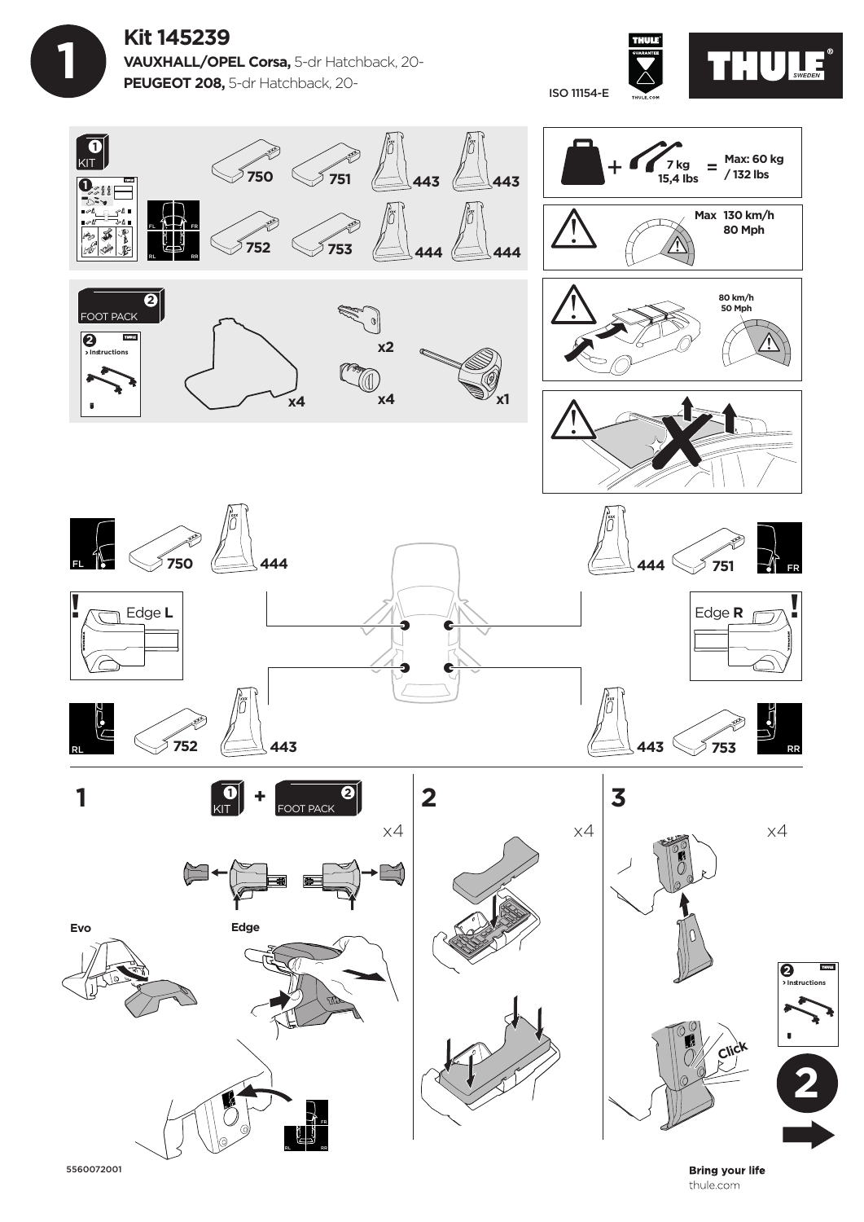**Kit 145239 VAUXHALL/OPEL Corsa,** 5-dr Hatchback, 20- **PEUGEOT 208,** 5-dr Hatchback, 20-

 **1**



ISO 11154-E



5560072001

**Bring your life** thule.com